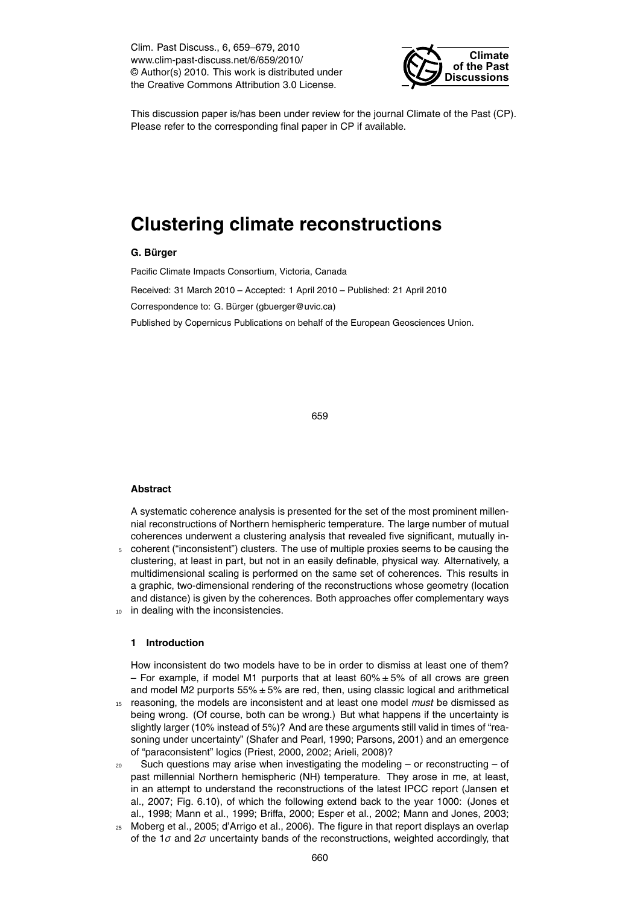Clim. Past Discuss., 6, 659–679, 2010 www.clim-past-discuss.net/6/659/2010/ © Author(s) 2010. This work is distributed under the Creative Commons Attribution 3.0 License.



This discussion paper is/has been under review for the journal Climate of the Past (CP). Please refer to the corresponding final paper in CP if available.

# **Clustering climate reconstructions**

# **G. Burger ¨**

Pacific Climate Impacts Consortium, Victoria, Canada

Received: 31 March 2010 – Accepted: 1 April 2010 – Published: 21 April 2010 Correspondence to: G. Bürger (gbuerger@uvic.ca) Published by Copernicus Publications on behalf of the European Geosciences Union.

659

## **Abstract**

A systematic coherence analysis is presented for the set of the most prominent millennial reconstructions of Northern hemispheric temperature. The large number of mutual coherences underwent a clustering analysis that revealed five significant, mutually in-<sup>5</sup> coherent ("inconsistent") clusters. The use of multiple proxies seems to be causing the clustering, at least in part, but not in an easily definable, physical way. Alternatively, a multidimensional scaling is performed on the same set of coherences. This results in a graphic, two-dimensional rendering of the reconstructions whose geometry (location and distance) is given by the coherences. Both approaches offer complementary ways

10 in dealing with the inconsistencies.

### **1 Introduction**

How inconsistent do two models have to be in order to dismiss at least one of them? – For example, if model M1 purports that at least  $60\% \pm 5\%$  of all crows are green and model M2 purports  $55\% \pm 5\%$  are red, then, using classic logical and arithmetical

- <sup>15</sup> reasoning, the models are inconsistent and at least one model *must* be dismissed as being wrong. (Of course, both can be wrong.) But what happens if the uncertainty is slightly larger (10% instead of 5%)? And are these arguments still valid in times of "reasoning under uncertainty" (Shafer and Pearl, 1990; Parsons, 2001) and an emergence of "paraconsistent" logics (Priest, 2000, 2002; Arieli, 2008)?
- $20$  Such questions may arise when investigating the modeling or reconstructing of past millennial Northern hemispheric (NH) temperature. They arose in me, at least, in an attempt to understand the reconstructions of the latest IPCC report (Jansen et al., 2007; Fig. 6.10), of which the following extend back to the year 1000: (Jones et al., 1998; Mann et al., 1999; Briffa, 2000; Esper et al., 2002; Mann and Jones, 2003;
- <sup>25</sup> Moberg et al., 2005; d'Arrigo et al., 2006). The figure in that report displays an overlap of the 1*σ* and 2*σ* uncertainty bands of the reconstructions, weighted accordingly, that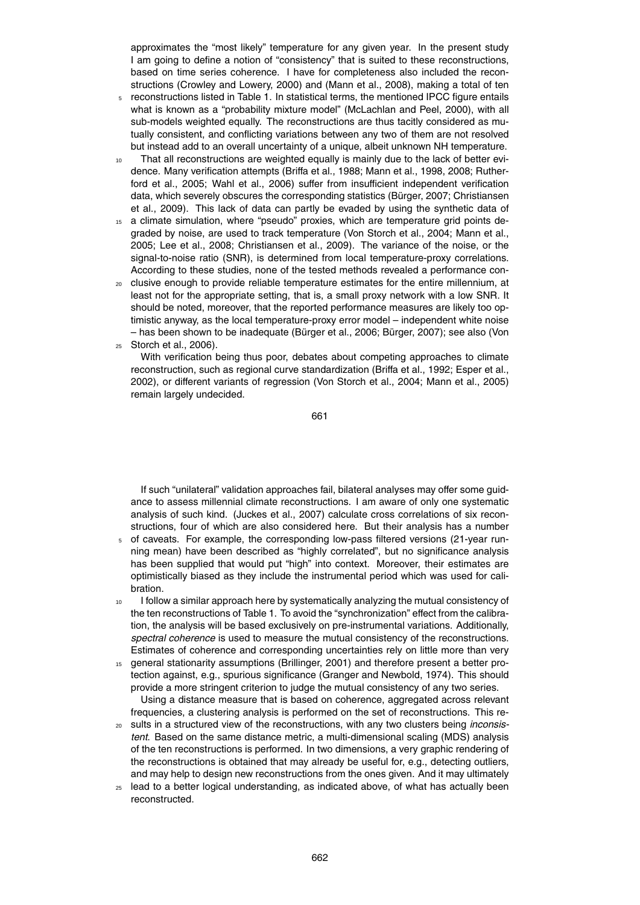approximates the "most likely" temperature for any given year. In the present study I am going to define a notion of "consistency" that is suited to these reconstructions, based on time series coherence. I have for completeness also included the reconstructions (Crowley and Lowery, 2000) and (Mann et al., 2008), making a total of ten

- <sup>5</sup> reconstructions listed in Table 1. In statistical terms, the mentioned IPCC figure entails what is known as a "probability mixture model" (McLachlan and Peel, 2000), with all sub-models weighted equally. The reconstructions are thus tacitly considered as mutually consistent, and conflicting variations between any two of them are not resolved but instead add to an overall uncertainty of a unique, albeit unknown NH temperature.
- 10 That all reconstructions are weighted equally is mainly due to the lack of better evidence. Many verification attempts (Briffa et al., 1988; Mann et al., 1998, 2008; Rutherford et al., 2005; Wahl et al., 2006) suffer from insufficient independent verification data, which severely obscures the corresponding statistics (Burger, 2007; Christiansen ¨ et al., 2009). This lack of data can partly be evaded by using the synthetic data of
- <sup>15</sup> a climate simulation, where "pseudo" proxies, which are temperature grid points degraded by noise, are used to track temperature (Von Storch et al., 2004; Mann et al., 2005; Lee et al., 2008; Christiansen et al., 2009). The variance of the noise, or the signal-to-noise ratio (SNR), is determined from local temperature-proxy correlations. According to these studies, none of the tested methods revealed a performance con-
- <sup>20</sup> clusive enough to provide reliable temperature estimates for the entire millennium, at least not for the appropriate setting, that is, a small proxy network with a low SNR. It should be noted, moreover, that the reported performance measures are likely too optimistic anyway, as the local temperature-proxy error model – independent white noise  $-$  has been shown to be inadequate (Bürger et al., 2006; Bürger, 2007); see also (Von
- <sup>25</sup> Storch et al., 2006).

With verification being thus poor, debates about competing approaches to climate reconstruction, such as regional curve standardization (Briffa et al., 1992; Esper et al., 2002), or different variants of regression (Von Storch et al., 2004; Mann et al., 2005) remain largely undecided.

661

If such "unilateral" validation approaches fail, bilateral analyses may offer some guidance to assess millennial climate reconstructions. I am aware of only one systematic analysis of such kind. (Juckes et al., 2007) calculate cross correlations of six reconstructions, four of which are also considered here. But their analysis has a number

- <sup>5</sup> of caveats. For example, the corresponding low-pass filtered versions (21-year running mean) have been described as "highly correlated", but no significance analysis has been supplied that would put "high" into context. Moreover, their estimates are optimistically biased as they include the instrumental period which was used for calibration.
- <sup>10</sup> I follow a similar approach here by systematically analyzing the mutual consistency of the ten reconstructions of Table 1. To avoid the "synchronization" effect from the calibration, the analysis will be based exclusively on pre-instrumental variations. Additionally, *spectral coherence* is used to measure the mutual consistency of the reconstructions. Estimates of coherence and corresponding uncertainties rely on little more than very
- <sup>15</sup> general stationarity assumptions (Brillinger, 2001) and therefore present a better protection against, e.g., spurious significance (Granger and Newbold, 1974). This should provide a more stringent criterion to judge the mutual consistency of any two series. Using a distance measure that is based on coherence, aggregated across relevant

frequencies, a clustering analysis is performed on the set of reconstructions. This re-<sup>20</sup> sults in a structured view of the reconstructions, with any two clusters being *inconsis-*

- *tent*. Based on the same distance metric, a multi-dimensional scaling (MDS) analysis of the ten reconstructions is performed. In two dimensions, a very graphic rendering of the reconstructions is obtained that may already be useful for, e.g., detecting outliers, and may help to design new reconstructions from the ones given. And it may ultimately
- $25$  lead to a better logical understanding, as indicated above, of what has actually been reconstructed.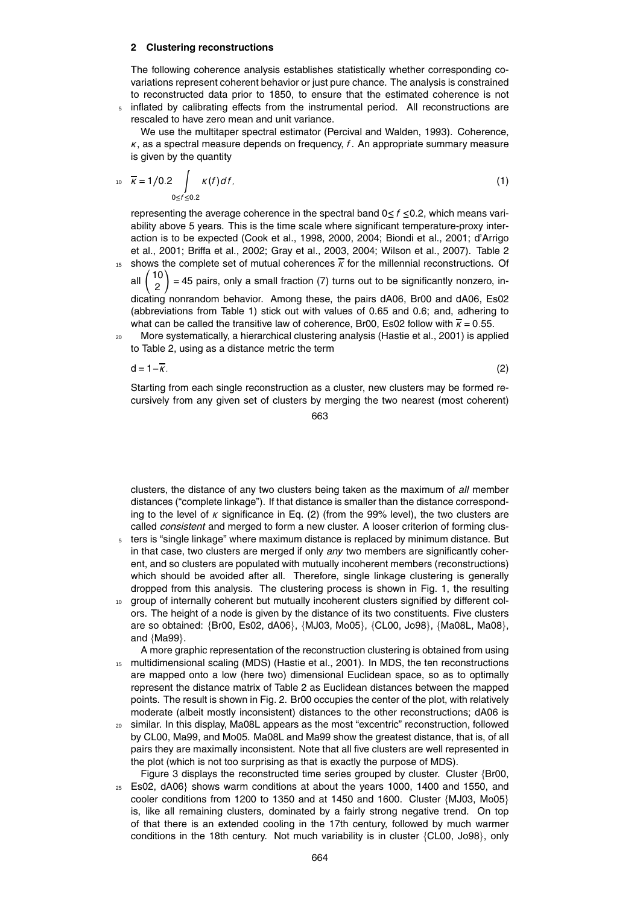#### **2 Clustering reconstructions**

The following coherence analysis establishes statistically whether corresponding covariations represent coherent behavior or just pure chance. The analysis is constrained to reconstructed data prior to 1850, to ensure that the estimated coherence is not

<sup>5</sup> inflated by calibrating effects from the instrumental period. All reconstructions are rescaled to have zero mean and unit variance.

We use the multitaper spectral estimator (Percival and Walden, 1993). Coherence, *κ*, as a spectral measure depends on frequency, *f*. An appropriate summary measure is given by the quantity

$$
\overline{\kappa} = 1/0.2 \int\limits_{0 \le f \le 0.2} \kappa(f) df, \tag{1}
$$

representing the average coherence in the spectral band  $0 \le f \le 0.2$ , which means variability above 5 years. This is the time scale where significant temperature-proxy interaction is to be expected (Cook et al., 1998, 2000, 2004; Biondi et al., 2001; d'Arrigo et al., 2001; Briffa et al., 2002; Gray et al., 2003, 2004; Wilson et al., 2007). Table 2 15 shows the complete set of mutual coherences  $\overline{k}$  for the millennial reconstructions. Of

all 10 2 Υ  $=$  45 pairs, only a small fraction (7) turns out to be significantly nonzero, indicating nonrandom behavior. Among these, the pairs dA06, Br00 and dA06, Es02 (abbreviations from Table 1) stick out with values of 0.65 and 0.6; and, adhering to what can be called the transitive law of coherence, Br00, Es02 follow with  $\overline{k}$  = 0.55.

<sup>20</sup> More systematically, a hierarchical clustering analysis (Hastie et al., 2001) is applied to Table 2, using as a distance metric the term

 $d = 1 - \overline{k}$ . (2)

Starting from each single reconstruction as a cluster, new clusters may be formed recursively from any given set of clusters by merging the two nearest (most coherent)

663

clusters, the distance of any two clusters being taken as the maximum of *all* member distances ("complete linkage"). If that distance is smaller than the distance corresponding to the level of  $\kappa$  significance in Eq. (2) (from the 99% level), the two clusters are called *consistent* and merged to form a new cluster. A looser criterion of forming clus-

- <sup>5</sup> ters is "single linkage" where maximum distance is replaced by minimum distance. But in that case, two clusters are merged if only *any* two members are significantly coherent, and so clusters are populated with mutually incoherent members (reconstructions) which should be avoided after all. Therefore, single linkage clustering is generally dropped from this analysis. The clustering process is shown in Fig. 1, the resulting
- <sup>10</sup> group of internally coherent but mutually incoherent clusters signified by different colors. The height of a node is given by the distance of its two constituents. Five clusters are so obtained: {Br00, Es02, dA06}, {MJ03, Mo05}, {CL00, Jo98}, {Ma08L, Ma08}, and {Ma99}.
- A more graphic representation of the reconstruction clustering is obtained from using 15 multidimensional scaling (MDS) (Hastie et al., 2001). In MDS, the ten reconstructions are mapped onto a low (here two) dimensional Euclidean space, so as to optimally represent the distance matrix of Table 2 as Euclidean distances between the mapped points. The result is shown in Fig. 2. Br00 occupies the center of the plot, with relatively moderate (albeit mostly inconsistent) distances to the other reconstructions; dA06 is
- <sup>20</sup> similar. In this display, Ma08L appears as the most "excentric" reconstruction, followed by CL00, Ma99, and Mo05. Ma08L and Ma99 show the greatest distance, that is, of all pairs they are maximally inconsistent. Note that all five clusters are well represented in the plot (which is not too surprising as that is exactly the purpose of MDS).
- Figure 3 displays the reconstructed time series grouped by cluster. Cluster {Br00,  $25$  Es02, dA06} shows warm conditions at about the years 1000, 1400 and 1550, and cooler conditions from 1200 to 1350 and at 1450 and 1600. Cluster {MJ03, Mo05} is, like all remaining clusters, dominated by a fairly strong negative trend. On top of that there is an extended cooling in the 17th century, followed by much warmer conditions in the 18th century. Not much variability is in cluster {CL00, Jo98}, only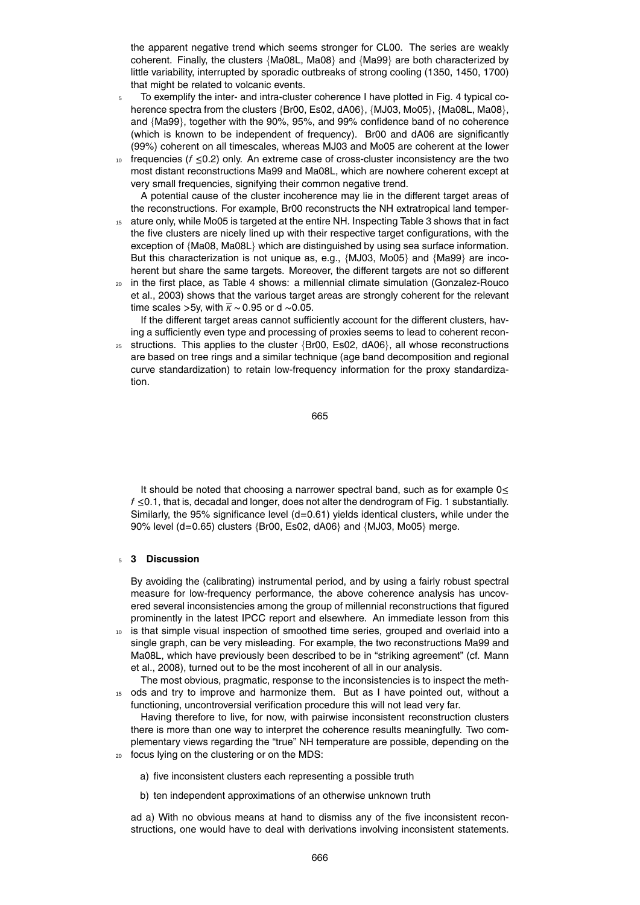the apparent negative trend which seems stronger for CL00. The series are weakly coherent. Finally, the clusters {Ma08L, Ma08} and {Ma99} are both characterized by little variability, interrupted by sporadic outbreaks of strong cooling (1350, 1450, 1700) that might be related to volcanic events.

- <sup>5</sup> To exemplify the inter- and intra-cluster coherence I have plotted in Fig. 4 typical coherence spectra from the clusters {Br00, Es02, dA06}, {MJ03, Mo05}, {Ma08L, Ma08}, and {Ma99}, together with the 90%, 95%, and 99% confidence band of no coherence (which is known to be independent of frequency). Br00 and dA06 are significantly (99%) coherent on all timescales, whereas MJ03 and Mo05 are coherent at the lower
- <sup>10</sup> frequencies (*f* ≤0.2) only. An extreme case of cross-cluster inconsistency are the two most distant reconstructions Ma99 and Ma08L, which are nowhere coherent except at very small frequencies, signifying their common negative trend.

A potential cause of the cluster incoherence may lie in the different target areas of the reconstructions. For example, Br00 reconstructs the NH extratropical land temper-15 ature only, while Mo05 is targeted at the entire NH. Inspecting Table 3 shows that in fact the five clusters are nicely lined up with their respective target configurations, with the exception of {Ma08, Ma08L} which are distinguished by using sea surface information. But this characterization is not unique as, e.g., {MJ03, Mo05} and {Ma99} are incoherent but share the same targets. Moreover, the different targets are not so different

<sup>20</sup> in the first place, as Table 4 shows: a millennial climate simulation (Gonzalez-Rouco et al., 2003) shows that the various target areas are strongly coherent for the relevant time scales >5y, with  $\bar{k}$  ~ 0.95 or d ~0.05.

If the different target areas cannot sufficiently account for the different clusters, having a sufficiently even type and processing of proxies seems to lead to coherent recon-

 $25$  structions. This applies to the cluster {Br00, Es02, dA06}, all whose reconstructions are based on tree rings and a similar technique (age band decomposition and regional curve standardization) to retain low-frequency information for the proxy standardization.

$$
665 \\
$$

It should be noted that choosing a narrower spectral band, such as for example  $0 \leq$ *f* ≤0.1, that is, decadal and longer, does not alter the dendrogram of Fig. 1 substantially. Similarly, the 95% significance level (d=0.61) yields identical clusters, while under the 90% level (d=0.65) clusters {Br00, Es02, dA06} and {MJ03, Mo05} merge.

#### <sup>5</sup> **3 Discussion**

By avoiding the (calibrating) instrumental period, and by using a fairly robust spectral measure for low-frequency performance, the above coherence analysis has uncovered several inconsistencies among the group of millennial reconstructions that figured prominently in the latest IPCC report and elsewhere. An immediate lesson from this

<sup>10</sup> is that simple visual inspection of smoothed time series, grouped and overlaid into a single graph, can be very misleading. For example, the two reconstructions Ma99 and Ma08L, which have previously been described to be in "striking agreement" (cf. Mann et al., 2008), turned out to be the most incoherent of all in our analysis.

The most obvious, pragmatic, response to the inconsistencies is to inspect the meth-<sup>15</sup> ods and try to improve and harmonize them. But as I have pointed out, without a functioning, uncontroversial verification procedure this will not lead very far.

Having therefore to live, for now, with pairwise inconsistent reconstruction clusters there is more than one way to interpret the coherence results meaningfully. Two complementary views regarding the "true" NH temperature are possible, depending on the <sup>20</sup> focus lying on the clustering or on the MDS:

- a) five inconsistent clusters each representing a possible truth
- b) ten independent approximations of an otherwise unknown truth

ad a) With no obvious means at hand to dismiss any of the five inconsistent reconstructions, one would have to deal with derivations involving inconsistent statements.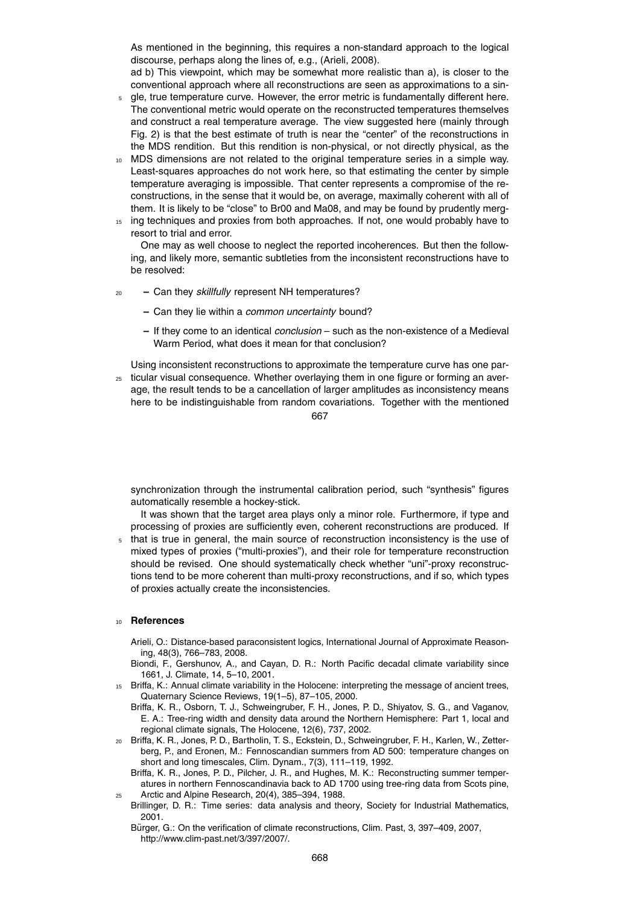As mentioned in the beginning, this requires a non-standard approach to the logical discourse, perhaps along the lines of, e.g., (Arieli, 2008).

ad b) This viewpoint, which may be somewhat more realistic than a), is closer to the conventional approach where all reconstructions are seen as approximations to a sin-

- <sup>5</sup> gle, true temperature curve. However, the error metric is fundamentally different here. The conventional metric would operate on the reconstructed temperatures themselves and construct a real temperature average. The view suggested here (mainly through Fig. 2) is that the best estimate of truth is near the "center" of the reconstructions in the MDS rendition. But this rendition is non-physical, or not directly physical, as the
- <sup>10</sup> MDS dimensions are not related to the original temperature series in a simple way. Least-squares approaches do not work here, so that estimating the center by simple temperature averaging is impossible. That center represents a compromise of the reconstructions, in the sense that it would be, on average, maximally coherent with all of them. It is likely to be "close" to Br00 and Ma08, and may be found by prudently merg-
- <sup>15</sup> ing techniques and proxies from both approaches. If not, one would probably have to resort to trial and error.

One may as well choose to neglect the reported incoherences. But then the following, and likely more, semantic subtleties from the inconsistent reconstructions have to be resolved:

- <sup>20</sup> **–** Can they *skillfully* represent NH temperatures?
	- **–** Can they lie within a *common uncertainty* bound?
	- **–** If they come to an identical *conclusion* such as the non-existence of a Medieval Warm Period, what does it mean for that conclusion?

Using inconsistent reconstructions to approximate the temperature curve has one par-

<sub>25</sub> ticular visual consequence. Whether overlaying them in one figure or forming an average, the result tends to be a cancellation of larger amplitudes as inconsistency means here to be indistinguishable from random covariations. Together with the mentioned 667

synchronization through the instrumental calibration period, such "synthesis" figures automatically resemble a hockey-stick.

It was shown that the target area plays only a minor role. Furthermore, if type and processing of proxies are sufficiently even, coherent reconstructions are produced. If

that is true in general, the main source of reconstruction inconsistency is the use of mixed types of proxies ("multi-proxies"), and their role for temperature reconstruction should be revised. One should systematically check whether "uni"-proxy reconstructions tend to be more coherent than multi-proxy reconstructions, and if so, which types of proxies actually create the inconsistencies.

#### <sup>10</sup> **References**

Arieli, O.: Distance-based paraconsistent logics, International Journal of Approximate Reasoning, 48(3), 766–783, 2008.

- Biondi, F., Gershunov, A., and Cayan, D. R.: North Pacific decadal climate variability since 1661, J. Climate, 14, 5–10, 2001.
- <sup>15</sup> Briffa, K.: Annual climate variability in the Holocene: interpreting the message of ancient trees, Quaternary Science Reviews, 19(1–5), 87–105, 2000.
	- Briffa, K. R., Osborn, T. J., Schweingruber, F. H., Jones, P. D., Shiyatov, S. G., and Vaganov, E. A.: Tree-ring width and density data around the Northern Hemisphere: Part 1, local and regional climate signals, The Holocene, 12(6), 737, 2002.
- <sup>20</sup> Briffa, K. R., Jones, P. D., Bartholin, T. S., Eckstein, D., Schweingruber, F. H., Karlen, W., Zetterberg, P., and Eronen, M.: Fennoscandian summers from AD 500: temperature changes on short and long timescales, Clim. Dynam., 7(3), 111–119, 1992.
	- Briffa, K. R., Jones, P. D., Pilcher, J. R., and Hughes, M. K.: Reconstructing summer temperatures in northern Fennoscandinavia back to AD 1700 using tree-ring data from Scots pine, <sup>25</sup> Arctic and Alpine Research, 20(4), 385–394, 1988.
- Brillinger, D. R.: Time series: data analysis and theory, Society for Industrial Mathematics, 2001.
	- Bürger, G.: On the verification of climate reconstructions, Clim. Past, 3, 397-409, 2007, http://www.clim-past.net/3/397/2007/.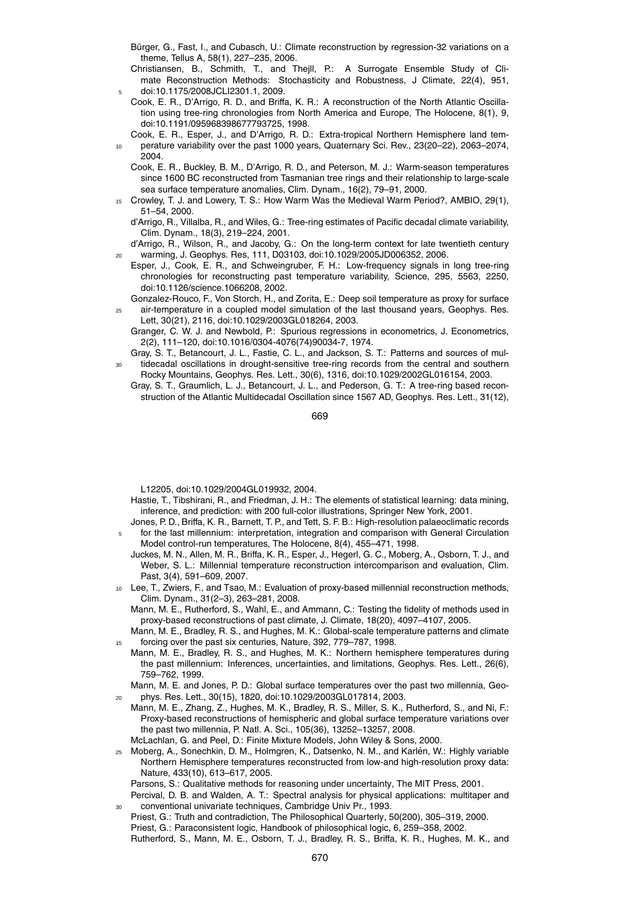- Bürger, G., Fast, I., and Cubasch, U.: Climate reconstruction by regression-32 variations on a theme, Tellus A, 58(1), 227–235, 2006.
- Christiansen, B., Schmith, T., and Thejll, P.: A Surrogate Ensemble Study of Climate Reconstruction Methods: Stochasticity and Robustness, J Climate, 22(4), 951, <sup>5</sup> doi:10.1175/2008JCLI2301.1, 2009.
- Cook, E. R., D'Arrigo, R. D., and Briffa, K. R.: A reconstruction of the North Atlantic Oscillation using tree-ring chronologies from North America and Europe, The Holocene, 8(1), 9, doi:10.1191/095968398677793725, 1998.
- Cook, E. R., Esper, J., and D'Arrigo, R. D.: Extra-tropical Northern Hemisphere land tem-<sup>10</sup> perature variability over the past 1000 years, Quaternary Sci. Rev., 23(20–22), 2063–2074, 2004.
	- Cook, E. R., Buckley, B. M., D'Arrigo, R. D., and Peterson, M. J.: Warm-season temperatures since 1600 BC reconstructed from Tasmanian tree rings and their relationship to large-scale sea surface temperature anomalies, Clim. Dynam., 16(2), 79–91, 2000.
- <sup>15</sup> Crowley, T. J. and Lowery, T. S.: How Warm Was the Medieval Warm Period?, AMBIO, 29(1), 51–54, 2000.
	- d'Arrigo, R., Villalba, R., and Wiles, G.: Tree-ring estimates of Pacific decadal climate variability, Clim. Dynam., 18(3), 219–224, 2001.
- d'Arrigo, R., Wilson, R., and Jacoby, G.: On the long-term context for late twentieth century <sup>20</sup> warming, J. Geophys. Res, 111, D03103, doi:10.1029/2005JD006352, 2006.
	- Esper, J., Cook, E. R., and Schweingruber, F. H.: Low-frequency signals in long tree-ring chronologies for reconstructing past temperature variability, Science, 295, 5563, 2250, doi:10.1126/science.1066208, 2002.
- Gonzalez-Rouco, F., Von Storch, H., and Zorita, E.: Deep soil temperature as proxy for surface <sup>25</sup> air-temperature in a coupled model simulation of the last thousand years, Geophys. Res. Lett, 30(21), 2116, doi:10.1029/2003GL018264, 2003.
	- Granger, C. W. J. and Newbold, P.: Spurious regressions in econometrics, J. Econometrics, 2(2), 111–120, doi:10.1016/0304-4076(74)90034-7, 1974.
- Gray, S. T., Betancourt, J. L., Fastie, C. L., and Jackson, S. T.: Patterns and sources of multidecadal oscillations in drought-sensitive tree-ring records from the central and southern Rocky Mountains, Geophys. Res. Lett., 30(6), 1316, doi:10.1029/2002GL016154, 2003.
- Gray, S. T., Graumlich, L. J., Betancourt, J. L., and Pederson, G. T.: A tree-ring based reconstruction of the Atlantic Multidecadal Oscillation since 1567 AD, Geophys. Res. Lett., 31(12),

669

L12205, doi:10.1029/2004GL019932, 2004.

- Hastie, T., Tibshirani, R., and Friedman, J. H.: The elements of statistical learning: data mining, inference, and prediction: with 200 full-color illustrations, Springer New York, 2001.
- Jones, P. D., Briffa, K. R., Barnett, T. P., and Tett, S. F. B.: High-resolution palaeoclimatic records for the last millennium: interpretation, integration and comparison with General Circulation Model control-run temperatures, The Holocene, 8(4), 455–471, 1998.
	- Juckes, M. N., Allen, M. R., Briffa, K. R., Esper, J., Hegerl, G. C., Moberg, A., Osborn, T. J., and Weber, S. L.: Millennial temperature reconstruction intercomparison and evaluation, Clim. Past, 3(4), 591–609, 2007.
- <sup>10</sup> Lee, T., Zwiers, F., and Tsao, M.: Evaluation of proxy-based millennial reconstruction methods, Clim. Dynam., 31(2–3), 263–281, 2008.
	- Mann, M. E., Rutherford, S., Wahl, E., and Ammann, C.: Testing the fidelity of methods used in proxy-based reconstructions of past climate, J. Climate, 18(20), 4097–4107, 2005.
- Mann, M. E., Bradley, R. S., and Hughes, M. K.: Global-scale temperature patterns and climate <sup>15</sup> forcing over the past six centuries, Nature, 392, 779–787, 1998.
- Mann, M. E., Bradley, R. S., and Hughes, M. K.: Northern hemisphere temperatures during the past millennium: Inferences, uncertainties, and limitations, Geophys. Res. Lett., 26(6), 759–762, 1999.
	- Mann, M. E. and Jones, P. D.: Global surface temperatures over the past two millennia, Geo-<sup>20</sup> phys. Res. Lett., 30(15), 1820, doi:10.1029/2003GL017814, 2003.
- Mann, M. E., Zhang, Z., Hughes, M. K., Bradley, R. S., Miller, S. K., Rutherford, S., and Ni, F.: Proxy-based reconstructions of hemispheric and global surface temperature variations over the past two millennia, P. Natl. A. Sci., 105(36), 13252–13257, 2008.
- McLachlan, G. and Peel, D.: Finite Mixture Models, John Wiley & Sons, 2000.
- <sup>25</sup> Moberg, A., Sonechkin, D. M., Holmgren, K., Datsenko, N. M., and Karlen, W.: Highly variable ´ Northern Hemisphere temperatures reconstructed from low-and high-resolution proxy data: Nature, 433(10), 613–617, 2005.

Parsons, S.: Qualitative methods for reasoning under uncertainty, The MIT Press, 2001.

- Percival, D. B. and Walden, A. T.: Spectral analysis for physical applications: multitaper and conventional univariate techniques, Cambridge Univ Pr., 1993.
- Priest, G.: Truth and contradiction, The Philosophical Quarterly, 50(200), 305–319, 2000. Priest, G.: Paraconsistent logic, Handbook of philosophical logic, 6, 259–358, 2002. Rutherford, S., Mann, M. E., Osborn, T. J., Bradley, R. S., Briffa, K. R., Hughes, M. K., and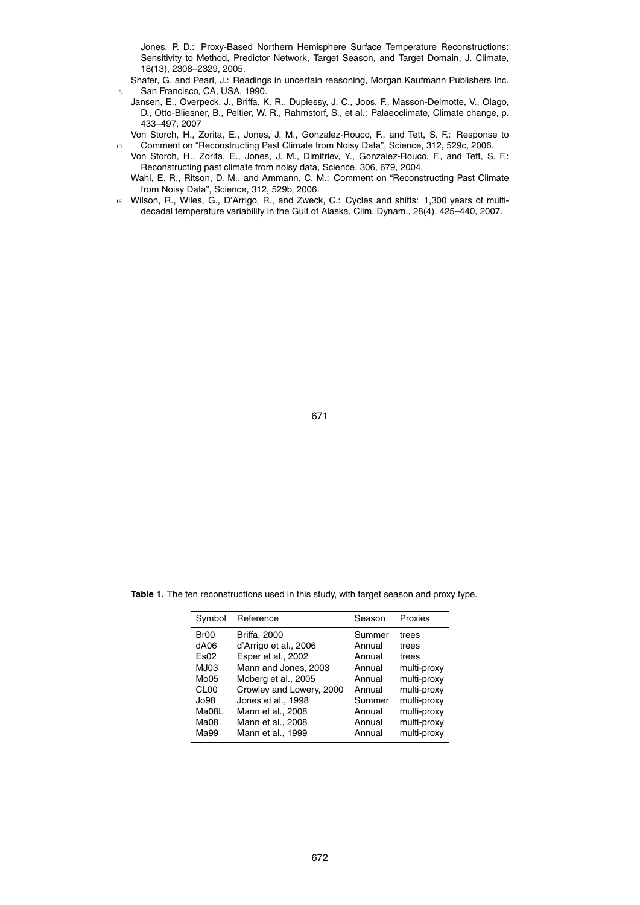Jones, P. D.: Proxy-Based Northern Hemisphere Surface Temperature Reconstructions: Sensitivity to Method, Predictor Network, Target Season, and Target Domain, J. Climate, 18(13), 2308–2329, 2005.

Shafer, G. and Pearl, J.: Readings in uncertain reasoning, Morgan Kaufmann Publishers Inc. 5 San Francisco, CA, USA, 1990.

- Jansen, E., Overpeck, J., Briffa, K. R., Duplessy, J. C., Joos, F., Masson-Delmotte, V., Olago, D., Otto-Bliesner, B., Peltier, W. R., Rahmstorf, S., et al.: Palaeoclimate, Climate change, p. 433–497, 2007
- Von Storch, H., Zorita, E., Jones, J. M., Gonzalez-Rouco, F., and Tett, S. F.: Response to <sup>10</sup> Comment on "Reconstructing Past Climate from Noisy Data", Science, 312, 529c, 2006.
- Von Storch, H., Zorita, E., Jones, J. M., Dimitriev, Y., Gonzalez-Rouco, F., and Tett, S. F.: Reconstructing past climate from noisy data, Science, 306, 679, 2004.
	- Wahl, E. R., Ritson, D. M., and Ammann, C. M.; Comment on "Reconstructing Past Climate from Noisy Data", Science, 312, 529b, 2006.
- <sup>15</sup> Wilson, R., Wiles, G., D'Arrigo, R., and Zweck, C.: Cycles and shifts: 1,300 years of multidecadal temperature variability in the Gulf of Alaska, Clim. Dynam., 28(4), 425–440, 2007.

671

**Table 1.** The ten reconstructions used in this study, with target season and proxy type.

| Symbol           | Reference                | Season | Proxies     |
|------------------|--------------------------|--------|-------------|
| Br <sub>00</sub> | <b>Briffa, 2000</b>      | Summer | trees       |
| dA06             | d'Arrigo et al., 2006    | Annual | trees       |
| Es02             | Esper et al., 2002       | Annual | trees       |
| MJ03             | Mann and Jones, 2003     | Annual | multi-proxy |
| Mo05             | Moberg et al., 2005      | Annual | multi-proxy |
| CL <sub>00</sub> | Crowley and Lowery, 2000 | Annual | multi-proxy |
| Jo98             | Jones et al., 1998       | Summer | multi-proxy |
| Ma08L            | Mann et al., 2008        | Annual | multi-proxy |
| Ma <sub>08</sub> | Mann et al., 2008        | Annual | multi-proxy |
| Ma99             | Mann et al., 1999        | Annual | multi-proxy |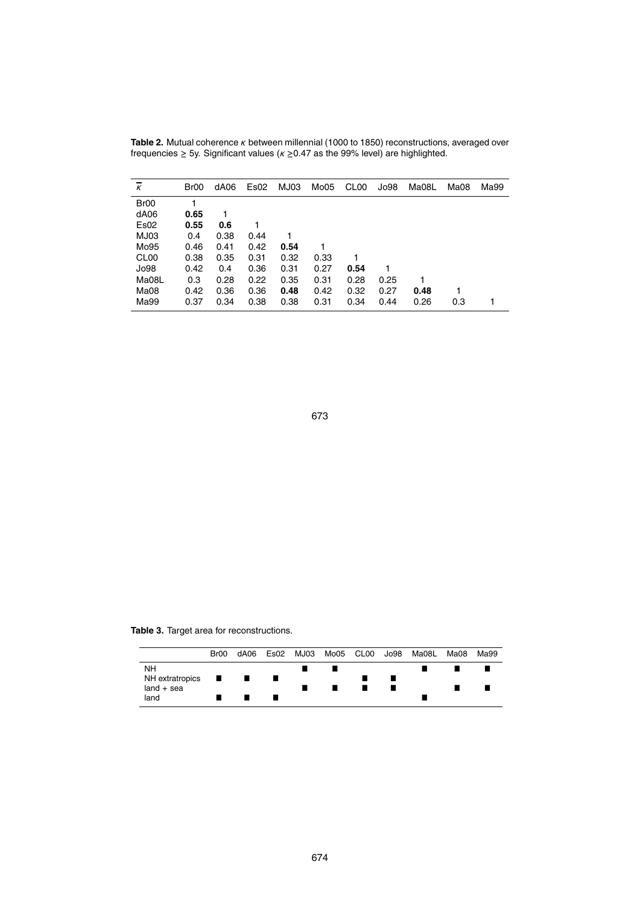| к                | Br00 | dA06 | Es <sub>02</sub> | MJ03 | Mo05 | CL <sub>00</sub> | Jo98 | Ma08L | Ma08 | Ma99 |
|------------------|------|------|------------------|------|------|------------------|------|-------|------|------|
| Br <sub>00</sub> | 1    |      |                  |      |      |                  |      |       |      |      |
| dA06             | 0.65 | 1    |                  |      |      |                  |      |       |      |      |
| Es02             | 0.55 | 0.6  |                  |      |      |                  |      |       |      |      |
| MJ03             | 0.4  | 0.38 | 0.44             |      |      |                  |      |       |      |      |
| Mo95             | 0.46 | 0.41 | 0.42             | 0.54 |      |                  |      |       |      |      |
| CL <sub>00</sub> | 0.38 | 0.35 | 0.31             | 0.32 | 0.33 |                  |      |       |      |      |
| Jo98             | 0.42 | 0.4  | 0.36             | 0.31 | 0.27 | 0.54             |      |       |      |      |
| Ma08L            | 0.3  | 0.28 | 0.22             | 0.35 | 0.31 | 0.28             | 0.25 |       |      |      |
| Ma08             | 0.42 | 0.36 | 0.36             | 0.48 | 0.42 | 0.32             | 0.27 | 0.48  |      |      |
| Ma99             | 0.37 | 0.34 | 0.38             | 0.38 | 0.31 | 0.34             | 0.44 | 0.26  | 0.3  |      |

**Table 2.** Mutual coherence *κ* between millennial (1000 to 1850) reconstructions, averaged over frequencies ≥ 5y. Significant values (*κ* ≥0.47 as the 99% level) are highlighted.

673

**Table 3.** Target area for reconstructions.

|                                  | Br00 | dA06 |  |  | Es02 MJ03 Mo05 CL00 Jo98 Ma08L Ma08 | Ma99 |
|----------------------------------|------|------|--|--|-------------------------------------|------|
| <b>NH</b>                        |      |      |  |  |                                     |      |
| $NH$ extratropics $\blacksquare$ |      | a ka |  |  |                                     |      |
| $land + sea$                     |      |      |  |  |                                     |      |
| land                             |      |      |  |  |                                     |      |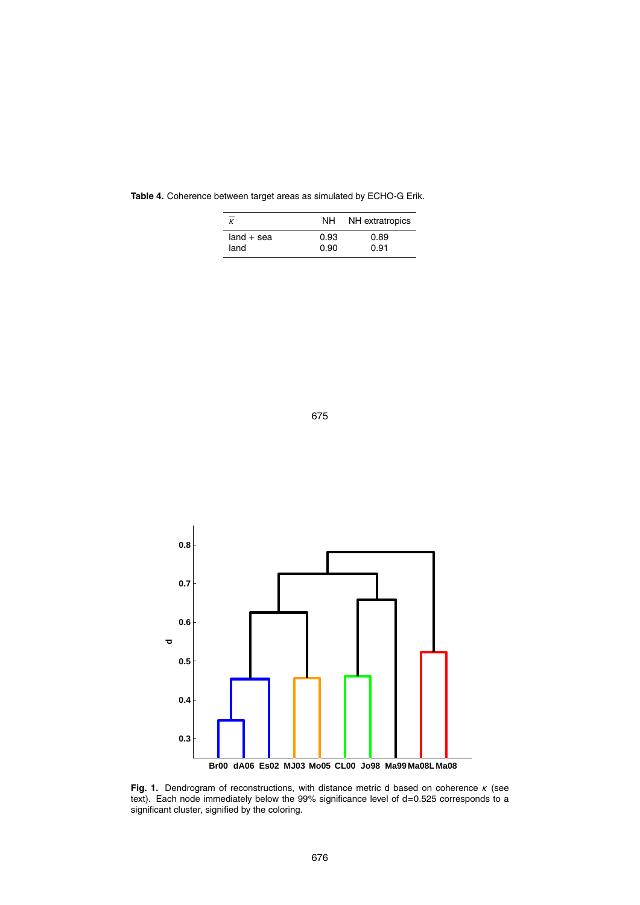|              | NH.  | NH extratropics |
|--------------|------|-----------------|
| $land + sea$ | 0.93 | 0.89            |
| land         | 0.90 | 0.91            |

**Table 4.** Coherence between target areas as simulated by ECHO-G Erik.





**Fig. 1.** Dendrogram of reconstructions, with distance metric d based on coherence *κ* (see text). Each node immediately below the 99% significance level of d=0.525 corresponds to a significant cluster, signified by the coloring.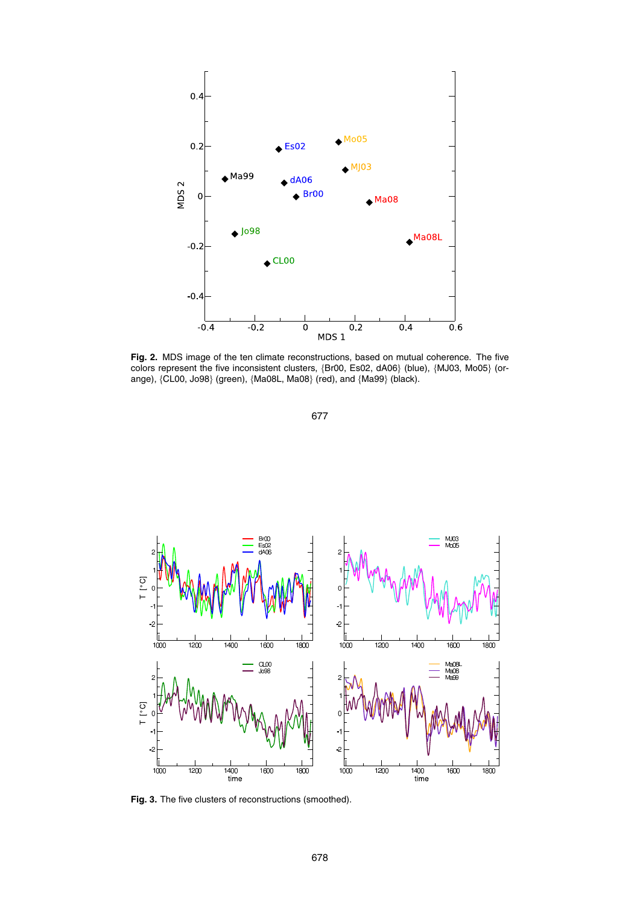

**Fig. 2.** MDS image of the ten climate reconstructions, based on mutual coherence. The five colors represent the five inconsistent clusters, {Br00, Es02, dA06} (blue), {MJ03, Mo05} (orange), {CL00, Jo98} (green), {Ma08L, Ma08} (red), and {Ma99} (black).





**Fig. 3.** The five clusters of reconstructions (smoothed).